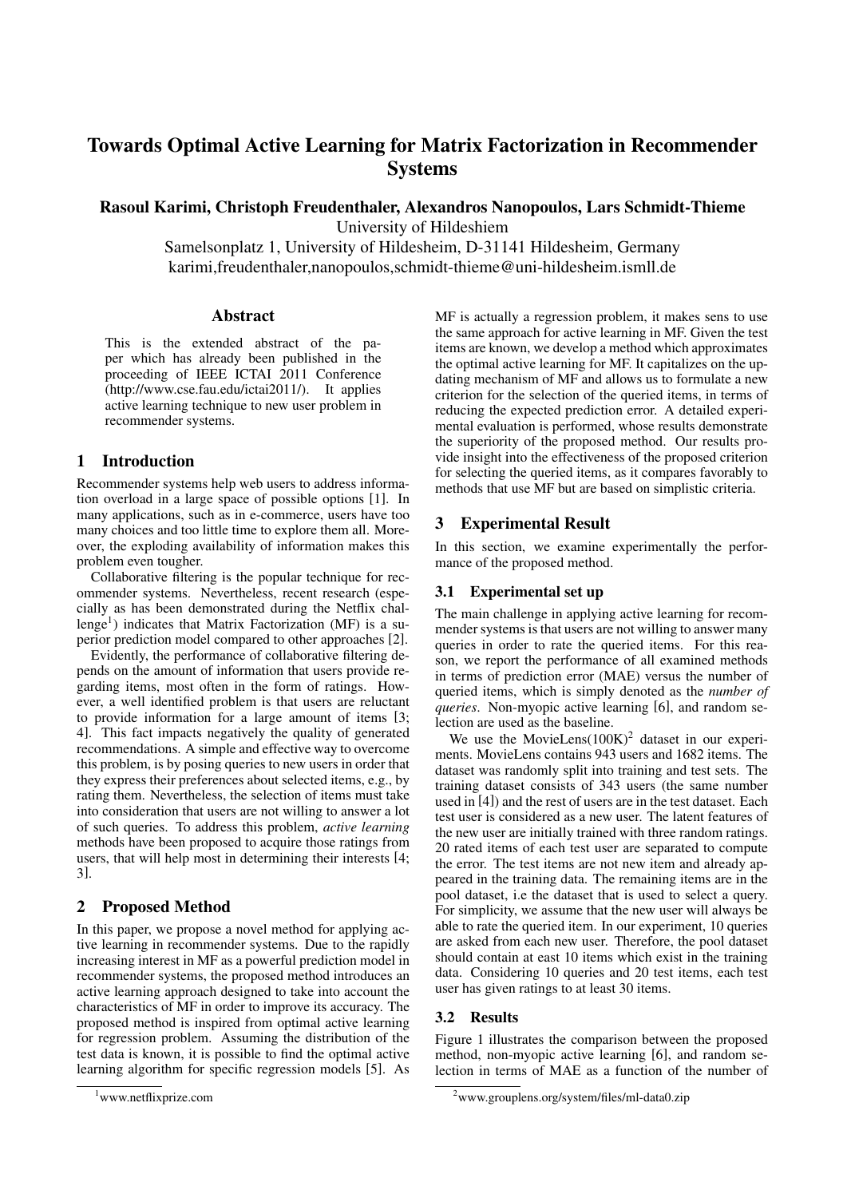# Towards Optimal Active Learning for Matrix Factorization in Recommender **Systems**

Rasoul Karimi, Christoph Freudenthaler, Alexandros Nanopoulos, Lars Schmidt-Thieme University of Hildeshiem

Samelsonplatz 1, University of Hildesheim, D-31141 Hildesheim, Germany karimi,freudenthaler,nanopoulos,schmidt-thieme@uni-hildesheim.ismll.de

### Abstract

This is the extended abstract of the paper which has already been published in the proceeding of IEEE ICTAI 2011 Conference (http://www.cse.fau.edu/ictai2011/). It applies active learning technique to new user problem in recommender systems.

## 1 Introduction

Recommender systems help web users to address information overload in a large space of possible options [1]. In many applications, such as in e-commerce, users have too many choices and too little time to explore them all. Moreover, the exploding availability of information makes this problem even tougher.

Collaborative filtering is the popular technique for recommender systems. Nevertheless, recent research (especially as has been demonstrated during the Netflix challenge<sup>1</sup>) indicates that Matrix Factorization (MF) is a superior prediction model compared to other approaches [2].

Evidently, the performance of collaborative filtering depends on the amount of information that users provide regarding items, most often in the form of ratings. However, a well identified problem is that users are reluctant to provide information for a large amount of items [3; 4]. This fact impacts negatively the quality of generated recommendations. A simple and effective way to overcome this problem, is by posing queries to new users in order that they express their preferences about selected items, e.g., by rating them. Nevertheless, the selection of items must take into consideration that users are not willing to answer a lot of such queries. To address this problem, *active learning* methods have been proposed to acquire those ratings from users, that will help most in determining their interests [4; 3].

## 2 Proposed Method

In this paper, we propose a novel method for applying active learning in recommender systems. Due to the rapidly increasing interest in MF as a powerful prediction model in recommender systems, the proposed method introduces an active learning approach designed to take into account the characteristics of MF in order to improve its accuracy. The proposed method is inspired from optimal active learning for regression problem. Assuming the distribution of the test data is known, it is possible to find the optimal active learning algorithm for specific regression models [5]. As

MF is actually a regression problem, it makes sens to use the same approach for active learning in MF. Given the test items are known, we develop a method which approximates the optimal active learning for MF. It capitalizes on the updating mechanism of MF and allows us to formulate a new criterion for the selection of the queried items, in terms of reducing the expected prediction error. A detailed experimental evaluation is performed, whose results demonstrate the superiority of the proposed method. Our results provide insight into the effectiveness of the proposed criterion for selecting the queried items, as it compares favorably to methods that use MF but are based on simplistic criteria.

# 3 Experimental Result

In this section, we examine experimentally the performance of the proposed method.

#### 3.1 Experimental set up

The main challenge in applying active learning for recommender systems is that users are not willing to answer many queries in order to rate the queried items. For this reason, we report the performance of all examined methods in terms of prediction error (MAE) versus the number of queried items, which is simply denoted as the *number of queries*. Non-myopic active learning [6], and random selection are used as the baseline.

We use the MovieLens $(100K)^2$  dataset in our experiments. MovieLens contains 943 users and 1682 items. The dataset was randomly split into training and test sets. The training dataset consists of 343 users (the same number used in [4]) and the rest of users are in the test dataset. Each test user is considered as a new user. The latent features of the new user are initially trained with three random ratings. 20 rated items of each test user are separated to compute the error. The test items are not new item and already appeared in the training data. The remaining items are in the pool dataset, i.e the dataset that is used to select a query. For simplicity, we assume that the new user will always be able to rate the queried item. In our experiment, 10 queries are asked from each new user. Therefore, the pool dataset should contain at east 10 items which exist in the training data. Considering 10 queries and 20 test items, each test user has given ratings to at least 30 items.

### 3.2 Results

Figure 1 illustrates the comparison between the proposed method, non-myopic active learning [6], and random selection in terms of MAE as a function of the number of

<sup>1</sup>www.netflixprize.com

<sup>2</sup>www.grouplens.org/system/files/ml-data0.zip